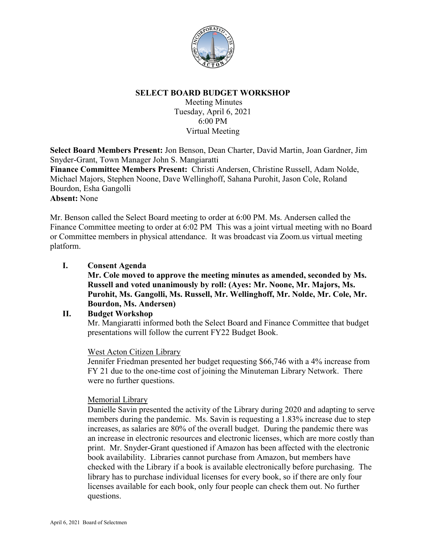

# **SELECT BOARD BUDGET WORKSHOP**

Meeting Minutes Tuesday, April 6, 2021 6:00 PM Virtual Meeting

**Select Board Members Present:** Jon Benson, Dean Charter, David Martin, Joan Gardner, Jim Snyder-Grant, Town Manager John S. Mangiaratti **Finance Committee Members Present:** Christi Andersen, Christine Russell, Adam Nolde, Michael Majors, Stephen Noone, Dave Wellinghoff, Sahana Purohit, Jason Cole, Roland Bourdon, Esha Gangolli **Absent:** None

Mr. Benson called the Select Board meeting to order at 6:00 PM. Ms. Andersen called the Finance Committee meeting to order at 6:02 PM This was a joint virtual meeting with no Board or Committee members in physical attendance. It was broadcast via Zoom.us virtual meeting platform.

## **I. Consent Agenda**

**Mr. Cole moved to approve the meeting minutes as amended, seconded by Ms. Russell and voted unanimously by roll: (Ayes: Mr. Noone, Mr. Majors, Ms. Purohit, Ms. Gangolli, Ms. Russell, Mr. Wellinghoff, Mr. Nolde, Mr. Cole, Mr. Bourdon, Ms. Andersen)**

### **II. Budget Workshop**

Mr. Mangiaratti informed both the Select Board and Finance Committee that budget presentations will follow the current FY22 Budget Book.

### West Acton Citizen Library

Jennifer Friedman presented her budget requesting \$66,746 with a 4% increase from FY 21 due to the one-time cost of joining the Minuteman Library Network. There were no further questions.

### Memorial Library

Danielle Savin presented the activity of the Library during 2020 and adapting to serve members during the pandemic. Ms. Savin is requesting a 1.83% increase due to step increases, as salaries are 80% of the overall budget. During the pandemic there was an increase in electronic resources and electronic licenses, which are more costly than print. Mr. Snyder-Grant questioned if Amazon has been affected with the electronic book availability. Libraries cannot purchase from Amazon, but members have checked with the Library if a book is available electronically before purchasing. The library has to purchase individual licenses for every book, so if there are only four licenses available for each book, only four people can check them out. No further questions.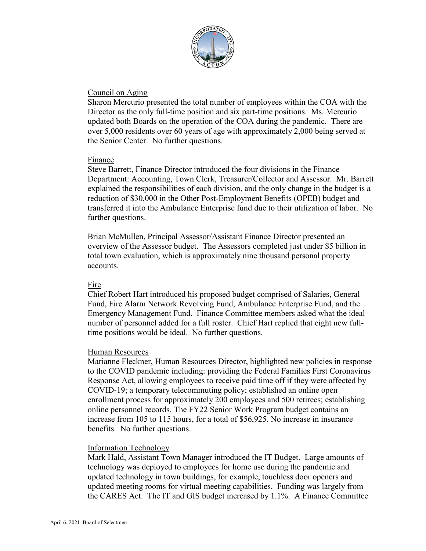

### Council on Aging

Sharon Mercurio presented the total number of employees within the COA with the Director as the only full-time position and six part-time positions. Ms. Mercurio updated both Boards on the operation of the COA during the pandemic. There are over 5,000 residents over 60 years of age with approximately 2,000 being served at the Senior Center. No further questions.

#### Finance

Steve Barrett, Finance Director introduced the four divisions in the Finance Department: Accounting, Town Clerk, Treasurer/Collector and Assessor. Mr. Barrett explained the responsibilities of each division, and the only change in the budget is a reduction of \$30,000 in the Other Post-Employment Benefits (OPEB) budget and transferred it into the Ambulance Enterprise fund due to their utilization of labor. No further questions.

Brian McMullen, Principal Assessor/Assistant Finance Director presented an overview of the Assessor budget. The Assessors completed just under \$5 billion in total town evaluation, which is approximately nine thousand personal property accounts.

### Fire

Chief Robert Hart introduced his proposed budget comprised of Salaries, General Fund, Fire Alarm Network Revolving Fund, Ambulance Enterprise Fund, and the Emergency Management Fund. Finance Committee members asked what the ideal number of personnel added for a full roster. Chief Hart replied that eight new fulltime positions would be ideal. No further questions.

### Human Resources

Marianne Fleckner, Human Resources Director, highlighted new policies in response to the COVID pandemic including: providing the Federal Families First Coronavirus Response Act, allowing employees to receive paid time off if they were affected by COVID-19; a temporary telecommuting policy; established an online open enrollment process for approximately 200 employees and 500 retirees; establishing online personnel records. The FY22 Senior Work Program budget contains an increase from 105 to 115 hours, for a total of \$56,925. No increase in insurance benefits. No further questions.

### Information Technology

Mark Hald, Assistant Town Manager introduced the IT Budget. Large amounts of technology was deployed to employees for home use during the pandemic and updated technology in town buildings, for example, touchless door openers and updated meeting rooms for virtual meeting capabilities. Funding was largely from the CARES Act. The IT and GIS budget increased by 1.1%. A Finance Committee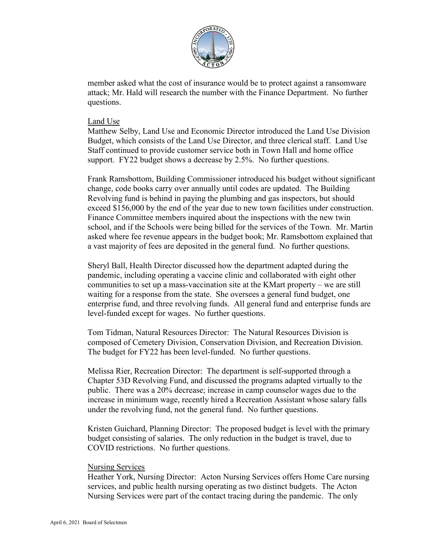

member asked what the cost of insurance would be to protect against a ransomware attack; Mr. Hald will research the number with the Finance Department. No further questions.

## Land Use

Matthew Selby, Land Use and Economic Director introduced the Land Use Division Budget, which consists of the Land Use Director, and three clerical staff. Land Use Staff continued to provide customer service both in Town Hall and home office support. FY22 budget shows a decrease by 2.5%. No further questions.

Frank Ramsbottom, Building Commissioner introduced his budget without significant change, code books carry over annually until codes are updated. The Building Revolving fund is behind in paying the plumbing and gas inspectors, but should exceed \$156,000 by the end of the year due to new town facilities under construction. Finance Committee members inquired about the inspections with the new twin school, and if the Schools were being billed for the services of the Town. Mr. Martin asked where fee revenue appears in the budget book; Mr. Ramsbottom explained that a vast majority of fees are deposited in the general fund. No further questions.

Sheryl Ball, Health Director discussed how the department adapted during the pandemic, including operating a vaccine clinic and collaborated with eight other communities to set up a mass-vaccination site at the KMart property – we are still waiting for a response from the state. She oversees a general fund budget, one enterprise fund, and three revolving funds. All general fund and enterprise funds are level-funded except for wages. No further questions.

Tom Tidman, Natural Resources Director: The Natural Resources Division is composed of Cemetery Division, Conservation Division, and Recreation Division. The budget for FY22 has been level-funded. No further questions.

Melissa Rier, Recreation Director: The department is self-supported through a Chapter 53D Revolving Fund, and discussed the programs adapted virtually to the public. There was a 20% decrease; increase in camp counselor wages due to the increase in minimum wage, recently hired a Recreation Assistant whose salary falls under the revolving fund, not the general fund. No further questions.

Kristen Guichard, Planning Director: The proposed budget is level with the primary budget consisting of salaries. The only reduction in the budget is travel, due to COVID restrictions. No further questions.

### Nursing Services

Heather York, Nursing Director: Acton Nursing Services offers Home Care nursing services, and public health nursing operating as two distinct budgets. The Acton Nursing Services were part of the contact tracing during the pandemic. The only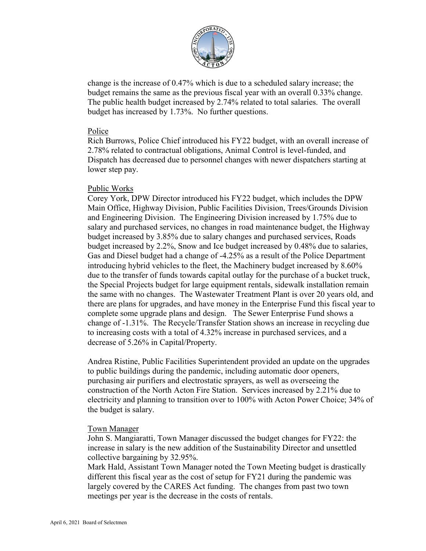

change is the increase of 0.47% which is due to a scheduled salary increase; the budget remains the same as the previous fiscal year with an overall 0.33% change. The public health budget increased by 2.74% related to total salaries. The overall budget has increased by 1.73%. No further questions.

#### Police

Rich Burrows, Police Chief introduced his FY22 budget, with an overall increase of 2.78% related to contractual obligations, Animal Control is level-funded, and Dispatch has decreased due to personnel changes with newer dispatchers starting at lower step pay.

#### Public Works

Corey York, DPW Director introduced his FY22 budget, which includes the DPW Main Office, Highway Division, Public Facilities Division, Trees/Grounds Division and Engineering Division. The Engineering Division increased by 1.75% due to salary and purchased services, no changes in road maintenance budget, the Highway budget increased by 3.85% due to salary changes and purchased services, Roads budget increased by 2.2%, Snow and Ice budget increased by 0.48% due to salaries, Gas and Diesel budget had a change of -4.25% as a result of the Police Department introducing hybrid vehicles to the fleet, the Machinery budget increased by 8.60% due to the transfer of funds towards capital outlay for the purchase of a bucket truck, the Special Projects budget for large equipment rentals, sidewalk installation remain the same with no changes. The Wastewater Treatment Plant is over 20 years old, and there are plans for upgrades, and have money in the Enterprise Fund this fiscal year to complete some upgrade plans and design. The Sewer Enterprise Fund shows a change of -1.31%. The Recycle/Transfer Station shows an increase in recycling due to increasing costs with a total of 4.32% increase in purchased services, and a decrease of 5.26% in Capital/Property.

Andrea Ristine, Public Facilities Superintendent provided an update on the upgrades to public buildings during the pandemic, including automatic door openers, purchasing air purifiers and electrostatic sprayers, as well as overseeing the construction of the North Acton Fire Station. Services increased by 2.21% due to electricity and planning to transition over to 100% with Acton Power Choice; 34% of the budget is salary.

#### Town Manager

John S. Mangiaratti, Town Manager discussed the budget changes for FY22: the increase in salary is the new addition of the Sustainability Director and unsettled collective bargaining by 32.95%.

Mark Hald, Assistant Town Manager noted the Town Meeting budget is drastically different this fiscal year as the cost of setup for FY21 during the pandemic was largely covered by the CARES Act funding. The changes from past two town meetings per year is the decrease in the costs of rentals.